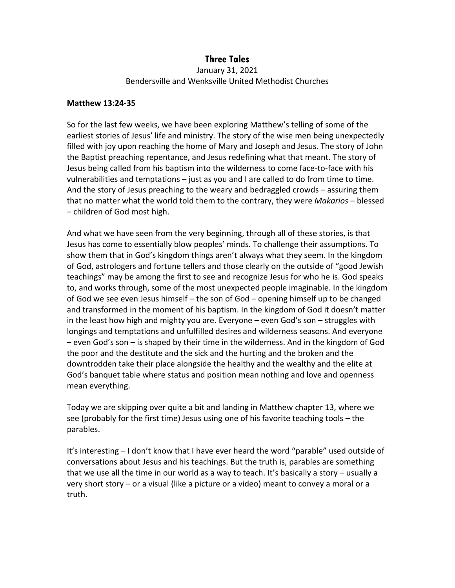## **Three Tales**

January 31, 2021 Bendersville and Wenksville United Methodist Churches

## **Matthew 13:24-35**

So for the last few weeks, we have been exploring Matthew's telling of some of the earliest stories of Jesus' life and ministry. The story of the wise men being unexpectedly filled with joy upon reaching the home of Mary and Joseph and Jesus. The story of John the Baptist preaching repentance, and Jesus redefining what that meant. The story of Jesus being called from his baptism into the wilderness to come face-to-face with his vulnerabilities and temptations – just as you and I are called to do from time to time. And the story of Jesus preaching to the weary and bedraggled crowds – assuring them that no matter what the world told them to the contrary, they were *Makarios* – blessed – children of God most high.

And what we have seen from the very beginning, through all of these stories, is that Jesus has come to essentially blow peoples' minds. To challenge their assumptions. To show them that in God's kingdom things aren't always what they seem. In the kingdom of God, astrologers and fortune tellers and those clearly on the outside of "good Jewish teachings" may be among the first to see and recognize Jesus for who he is. God speaks to, and works through, some of the most unexpected people imaginable. In the kingdom of God we see even Jesus himself – the son of God – opening himself up to be changed and transformed in the moment of his baptism. In the kingdom of God it doesn't matter in the least how high and mighty you are. Everyone – even God's son – struggles with longings and temptations and unfulfilled desires and wilderness seasons. And everyone – even God's son – is shaped by their time in the wilderness. And in the kingdom of God the poor and the destitute and the sick and the hurting and the broken and the downtrodden take their place alongside the healthy and the wealthy and the elite at God's banquet table where status and position mean nothing and love and openness mean everything.

Today we are skipping over quite a bit and landing in Matthew chapter 13, where we see (probably for the first time) Jesus using one of his favorite teaching tools – the parables.

It's interesting – I don't know that I have ever heard the word "parable" used outside of conversations about Jesus and his teachings. But the truth is, parables are something that we use all the time in our world as a way to teach. It's basically a story – usually a very short story – or a visual (like a picture or a video) meant to convey a moral or a truth.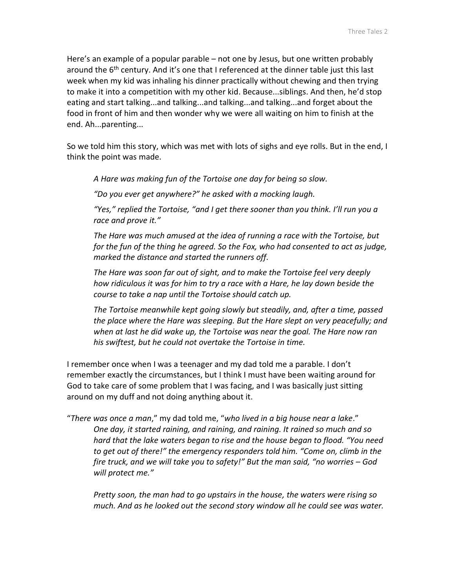Here's an example of a popular parable – not one by Jesus, but one written probably around the 6<sup>th</sup> century. And it's one that I referenced at the dinner table just this last week when my kid was inhaling his dinner practically without chewing and then trying to make it into a competition with my other kid. Because...siblings. And then, he'd stop eating and start talking...and talking...and talking...and talking...and forget about the food in front of him and then wonder why we were all waiting on him to finish at the end. Ah...parenting...

So we told him this story, which was met with lots of sighs and eye rolls. But in the end, I think the point was made.

*A Hare was making fun of the Tortoise one day for being so slow.*

*"Do you ever get anywhere?" he asked with a mocking laugh.*

*"Yes," replied the Tortoise, "and I get there sooner than you think. I'll run you a race and prove it."*

*The Hare was much amused at the idea of running a race with the Tortoise, but for the fun of the thing he agreed. So the Fox, who had consented to act as judge, marked the distance and started the runners off.*

*The Hare was soon far out of sight, and to make the Tortoise feel very deeply how ridiculous it was for him to try a race with a Hare, he lay down beside the course to take a nap until the Tortoise should catch up.*

*The Tortoise meanwhile kept going slowly but steadily, and, after a time, passed the place where the Hare was sleeping. But the Hare slept on very peacefully; and when at last he did wake up, the Tortoise was near the goal. The Hare now ran his swiftest, but he could not overtake the Tortoise in time.*

I remember once when I was a teenager and my dad told me a parable. I don't remember exactly the circumstances, but I think I must have been waiting around for God to take care of some problem that I was facing, and I was basically just sitting around on my duff and not doing anything about it.

"*There was once a man*," my dad told me, "*who lived in a big house near a lake*." *One day, it started raining, and raining, and raining. It rained so much and so hard that the lake waters began to rise and the house began to flood. "You need to get out of there!" the emergency responders told him. "Come on, climb in the fire truck, and we will take you to safety!" But the man said, "no worries – God will protect me."*

*Pretty soon, the man had to go upstairs in the house, the waters were rising so much. And as he looked out the second story window all he could see was water.*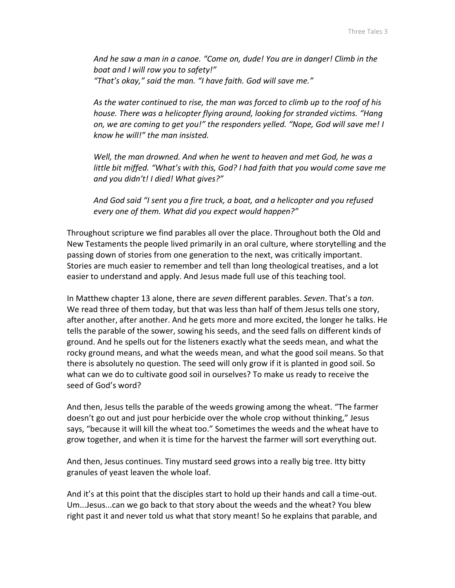*And he saw a man in a canoe. "Come on, dude! You are in danger! Climb in the boat and I will row you to safety!" "That's okay," said the man. "I have faith. God will save me."*

*As the water continued to rise, the man was forced to climb up to the roof of his house. There was a helicopter flying around, looking for stranded victims. "Hang on, we are coming to get you!" the responders yelled. "Nope, God will save me! I know he will!" the man insisted.*

*Well, the man drowned. And when he went to heaven and met God, he was a little bit miffed. "What's with this, God? I had faith that you would come save me and you didn't! I died! What gives?"*

*And God said "I sent you a fire truck, a boat, and a helicopter and you refused every one of them. What did you expect would happen?"*

Throughout scripture we find parables all over the place. Throughout both the Old and New Testaments the people lived primarily in an oral culture, where storytelling and the passing down of stories from one generation to the next, was critically important. Stories are much easier to remember and tell than long theological treatises, and a lot easier to understand and apply. And Jesus made full use of this teaching tool.

In Matthew chapter 13 alone, there are *seven* different parables. *Seven*. That's a *ton*. We read three of them today, but that was less than half of them Jesus tells one story, after another, after another. And he gets more and more excited, the longer he talks. He tells the parable of the sower, sowing his seeds, and the seed falls on different kinds of ground. And he spells out for the listeners exactly what the seeds mean, and what the rocky ground means, and what the weeds mean, and what the good soil means. So that there is absolutely no question. The seed will only grow if it is planted in good soil. So what can we do to cultivate good soil in ourselves? To make us ready to receive the seed of God's word?

And then, Jesus tells the parable of the weeds growing among the wheat. "The farmer doesn't go out and just pour herbicide over the whole crop without thinking," Jesus says, "because it will kill the wheat too." Sometimes the weeds and the wheat have to grow together, and when it is time for the harvest the farmer will sort everything out.

And then, Jesus continues. Tiny mustard seed grows into a really big tree. Itty bitty granules of yeast leaven the whole loaf.

And it's at this point that the disciples start to hold up their hands and call a time-out. Um...Jesus...can we go back to that story about the weeds and the wheat? You blew right past it and never told us what that story meant! So he explains that parable, and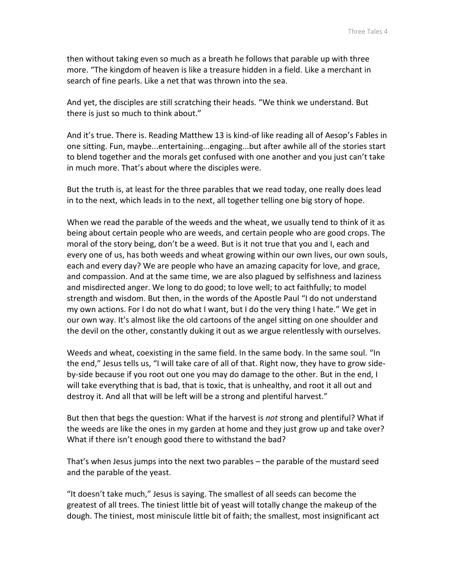then without taking even so much as a breath he follows that parable up with three more. "The kingdom of heaven is like a treasure hidden in a field. Like a merchant in search of fine pearls. Like a net that was thrown into the sea.

And yet, the disciples are still scratching their heads. "We think we understand. But there is just so much to think about."

And it's true. There is. Reading Matthew 13 is kind-of like reading all of Aesop's Fables in one sitting. Fun, maybe...entertaining...engaging...but after awhile all of the stories start to blend together and the morals get confused with one another and you just can't take in much more. That's about where the disciples were.

But the truth is, at least for the three parables that we read today, one really does lead in to the next, which leads in to the next, all together telling one big story of hope.

When we read the parable of the weeds and the wheat, we usually tend to think of it as being about certain people who are weeds, and certain people who are good crops. The moral of the story being, don't be a weed. But is it not true that you and I, each and every one of us, has both weeds and wheat growing within our own lives, our own souls, each and every day? We are people who have an amazing capacity for love, and grace, and compassion. And at the same time, we are also plagued by selfishness and laziness and misdirected anger. We long to do good; to love well; to act faithfully; to model strength and wisdom. But then, in the words of the Apostle Paul "I do not understand my own actions. For I do not do what I want, but I do the very thing I hate." We get in our own way. It's almost like the old cartoons of the angel sitting on one shoulder and the devil on the other, constantly duking it out as we argue relentlessly with ourselves.

Weeds and wheat, coexisting in the same field. In the same body. In the same soul. "In the end," Jesus tells us, "I will take care of all of that. Right now, they have to grow sideby-side because if you root out one you may do damage to the other. But in the end, I will take everything that is bad, that is toxic, that is unhealthy, and root it all out and destroy it. And all that will be left will be a strong and plentiful harvest."

But then that begs the question: What if the harvest is *not* strong and plentiful? What if the weeds are like the ones in my garden at home and they just grow up and take over? What if there isn't enough good there to withstand the bad?

That's when Jesus jumps into the next two parables – the parable of the mustard seed and the parable of the yeast.

"It doesn't take much," Jesus is saying. The smallest of all seeds can become the greatest of all trees. The tiniest little bit of yeast will totally change the makeup of the dough. The tiniest, most miniscule little bit of faith; the smallest, most insignificant act